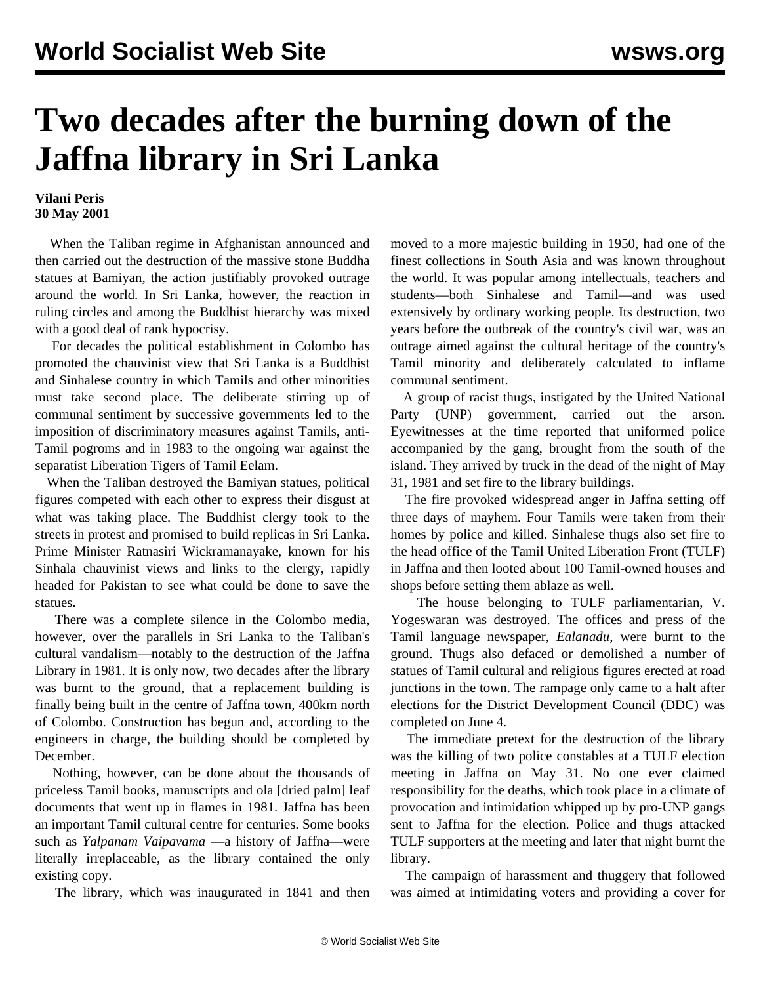## **Two decades after the burning down of the Jaffna library in Sri Lanka**

## **Vilani Peris 30 May 2001**

 When the Taliban regime in Afghanistan announced and then carried out the destruction of the massive stone Buddha statues at Bamiyan, the action justifiably provoked outrage around the world. In Sri Lanka, however, the reaction in ruling circles and among the Buddhist hierarchy was mixed with a good deal of rank hypocrisy.

 For decades the political establishment in Colombo has promoted the chauvinist view that Sri Lanka is a Buddhist and Sinhalese country in which Tamils and other minorities must take second place. The deliberate stirring up of communal sentiment by successive governments led to the imposition of discriminatory measures against Tamils, anti-Tamil pogroms and in 1983 to the ongoing war against the separatist Liberation Tigers of Tamil Eelam.

 When the Taliban destroyed the Bamiyan statues, political figures competed with each other to express their disgust at what was taking place. The Buddhist clergy took to the streets in protest and promised to build replicas in Sri Lanka. Prime Minister Ratnasiri Wickramanayake, known for his Sinhala chauvinist views and links to the clergy, rapidly headed for Pakistan to see what could be done to save the statues.

 There was a complete silence in the Colombo media, however, over the parallels in Sri Lanka to the Taliban's cultural vandalism—notably to the destruction of the Jaffna Library in 1981. It is only now, two decades after the library was burnt to the ground, that a replacement building is finally being built in the centre of Jaffna town, 400km north of Colombo. Construction has begun and, according to the engineers in charge, the building should be completed by December.

 Nothing, however, can be done about the thousands of priceless Tamil books, manuscripts and ola [dried palm] leaf documents that went up in flames in 1981. Jaffna has been an important Tamil cultural centre for centuries. Some books such as *Yalpanam Vaipavama* —a history of Jaffna—were literally irreplaceable, as the library contained the only existing copy.

The library, which was inaugurated in 1841 and then

moved to a more majestic building in 1950, had one of the finest collections in South Asia and was known throughout the world. It was popular among intellectuals, teachers and students—both Sinhalese and Tamil—and was used extensively by ordinary working people. Its destruction, two years before the outbreak of the country's civil war, was an outrage aimed against the cultural heritage of the country's Tamil minority and deliberately calculated to inflame communal sentiment.

 A group of racist thugs, instigated by the United National Party (UNP) government, carried out the arson. Eyewitnesses at the time reported that uniformed police accompanied by the gang, brought from the south of the island. They arrived by truck in the dead of the night of May 31, 1981 and set fire to the library buildings.

 The fire provoked widespread anger in Jaffna setting off three days of mayhem. Four Tamils were taken from their homes by police and killed. Sinhalese thugs also set fire to the head office of the Tamil United Liberation Front (TULF) in Jaffna and then looted about 100 Tamil-owned houses and shops before setting them ablaze as well.

 The house belonging to TULF parliamentarian, V. Yogeswaran was destroyed. The offices and press of the Tamil language newspaper, *Ealanadu*, were burnt to the ground. Thugs also defaced or demolished a number of statues of Tamil cultural and religious figures erected at road junctions in the town. The rampage only came to a halt after elections for the District Development Council (DDC) was completed on June 4.

 The immediate pretext for the destruction of the library was the killing of two police constables at a TULF election meeting in Jaffna on May 31. No one ever claimed responsibility for the deaths, which took place in a climate of provocation and intimidation whipped up by pro-UNP gangs sent to Jaffna for the election. Police and thugs attacked TULF supporters at the meeting and later that night burnt the library.

 The campaign of harassment and thuggery that followed was aimed at intimidating voters and providing a cover for